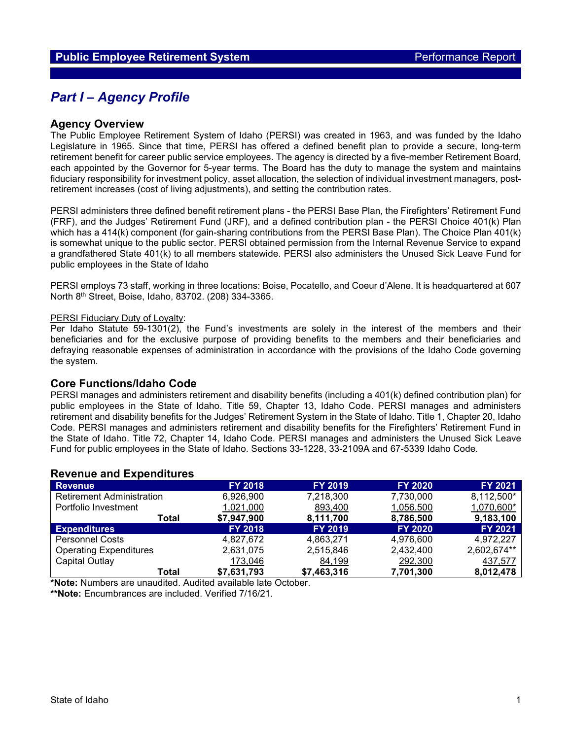## *Part I – Agency Profile*

### **Agency Overview**

The Public Employee Retirement System of Idaho (PERSI) was created in 1963, and was funded by the Idaho Legislature in 1965. Since that time, PERSI has offered a defined benefit plan to provide a secure, long-term retirement benefit for career public service employees. The agency is directed by a five-member Retirement Board, each appointed by the Governor for 5-year terms. The Board has the duty to manage the system and maintains fiduciary responsibility for investment policy, asset allocation, the selection of individual investment managers, postretirement increases (cost of living adjustments), and setting the contribution rates.

PERSI administers three defined benefit retirement plans - the PERSI Base Plan, the Firefighters' Retirement Fund (FRF), and the Judges' Retirement Fund (JRF), and a defined contribution plan - the PERSI Choice 401(k) Plan which has a 414(k) component (for gain-sharing contributions from the PERSI Base Plan). The Choice Plan 401(k) is somewhat unique to the public sector. PERSI obtained permission from the Internal Revenue Service to expand a grandfathered State 401(k) to all members statewide. PERSI also administers the Unused Sick Leave Fund for public employees in the State of Idaho

PERSI employs 73 staff, working in three locations: Boise, Pocatello, and Coeur d'Alene. It is headquartered at 607 North 8th Street, Boise, Idaho, 83702. (208) 334-3365.

#### PERSI Fiduciary Duty of Loyalty:

Per Idaho Statute 59-1301(2), the Fund's investments are solely in the interest of the members and their beneficiaries and for the exclusive purpose of providing benefits to the members and their beneficiaries and defraying reasonable expenses of administration in accordance with the provisions of the Idaho Code governing the system.

### **Core Functions/Idaho Code**

PERSI manages and administers retirement and disability benefits (including a 401(k) defined contribution plan) for public employees in the State of Idaho. Title 59, Chapter 13, Idaho Code. PERSI manages and administers retirement and disability benefits for the Judges' Retirement System in the State of Idaho. Title 1, Chapter 20, Idaho Code. PERSI manages and administers retirement and disability benefits for the Firefighters' Retirement Fund in the State of Idaho. Title 72, Chapter 14, Idaho Code. PERSI manages and administers the Unused Sick Leave Fund for public employees in the State of Idaho. Sections 33-1228, 33-2109A and 67-5339 Idaho Code.

### **Revenue and Expenditures**

| <b>Revenue</b>                   | <b>FY 2018</b> | <b>FY 2019</b> | <b>FY 2020</b> | FY 2021        |
|----------------------------------|----------------|----------------|----------------|----------------|
| <b>Retirement Administration</b> | 6,926,900      | 7,218,300      | 7,730,000      | 8,112,500*     |
| Portfolio Investment             | 1,021,000      | 893,400        | 1,056.500      | 1,070,600*     |
| Total                            | \$7,947,900    | 8,111,700      | 8,786,500      | 9,183,100      |
| <b>Expenditures</b>              | <b>FY 2018</b> | <b>FY 2019</b> | <b>FY 2020</b> | <b>FY 2021</b> |
| <b>Personnel Costs</b>           | 4.827.672      | 4,863,271      | 4.976.600      | 4,972,227      |
| <b>Operating Expenditures</b>    | 2,631,075      | 2,515,846      | 2,432,400      | 2,602,674**    |
| Capital Outlay                   | 173,046        | 84,199         | 292,300        | 437,577        |
| Total                            | \$7,631,793    | \$7,463,316    | 7,701,300      | 8,012,478      |

**\*Note:** Numbers are unaudited. Audited available late October.

**\*\*Note:** Encumbrances are included. Verified 7/16/21.